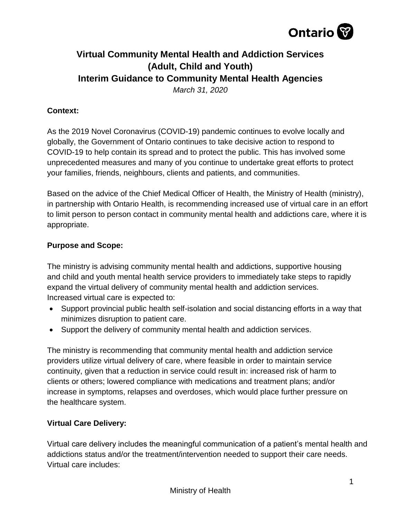

# **Virtual Community Mental Health and Addiction Services (Adult, Child and Youth) Interim Guidance to Community Mental Health Agencies**

*March 31, 2020*

# **Context:**

As the 2019 Novel Coronavirus (COVID-19) pandemic continues to evolve locally and globally, the Government of Ontario continues to take decisive action to respond to COVID-19 to help contain its spread and to protect the public. This has involved some unprecedented measures and many of you continue to undertake great efforts to protect your families, friends, neighbours, clients and patients, and communities.

Based on the advice of the Chief Medical Officer of Health, the Ministry of Health (ministry), in partnership with Ontario Health, is recommending increased use of virtual care in an effort to limit person to person contact in community mental health and addictions care, where it is appropriate.

# **Purpose and Scope:**

The ministry is advising community mental health and addictions, supportive housing and child and youth mental health service providers to immediately take steps to rapidly expand the virtual delivery of community mental health and addiction services. Increased virtual care is expected to:

- Support provincial public health self-isolation and social distancing efforts in a way that minimizes disruption to patient care.
- Support the delivery of community mental health and addiction services.

The ministry is recommending that community mental health and addiction service providers utilize virtual delivery of care, where feasible in order to maintain service continuity, given that a reduction in service could result in: increased risk of harm to clients or others; lowered compliance with medications and treatment plans; and/or increase in symptoms, relapses and overdoses, which would place further pressure on the healthcare system.

## **Virtual Care Delivery:**

Virtual care delivery includes the meaningful communication of a patient's mental health and addictions status and/or the treatment/intervention needed to support their care needs. Virtual care includes: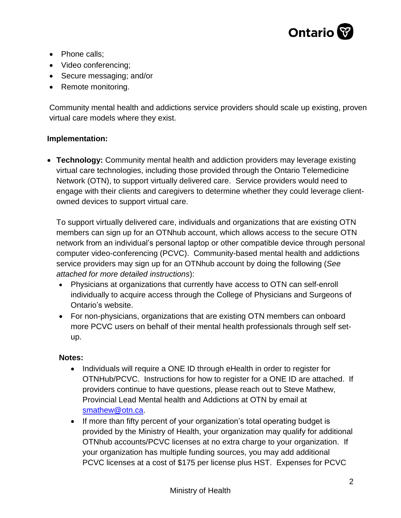

- Phone calls;
- Video conferencing;
- Secure messaging; and/or
- Remote monitoring.

Community mental health and addictions service providers should scale up existing, proven virtual care models where they exist.

## **Implementation:**

• **Technology:** Community mental health and addiction providers may leverage existing virtual care technologies, including those provided through the Ontario Telemedicine Network (OTN), to support virtually delivered care. Service providers would need to engage with their clients and caregivers to determine whether they could leverage clientowned devices to support virtual care.

To support virtually delivered care, individuals and organizations that are existing OTN members can sign up for an OTNhub account, which allows access to the secure OTN network from an individual's personal laptop or other compatible device through personal computer video-conferencing (PCVC). Community-based mental health and addictions service providers may sign up for an OTNhub account by doing the following (*See attached for more detailed instructions*):

- Physicians at organizations that currently have access to OTN can self-enroll individually to acquire access through the College of Physicians and Surgeons of Ontario's website.
- For non-physicians, organizations that are existing OTN members can onboard more PCVC users on behalf of their mental health professionals through self setup.

#### **Notes:**

- Individuals will require a ONE ID through eHealth in order to register for OTNHub/PCVC. Instructions for how to register for a ONE ID are attached. If providers continue to have questions, please reach out to Steve Mathew, Provincial Lead Mental health and Addictions at OTN by email at [smathew@otn.ca.](mailto:smathew@otn.ca)
- If more than fifty percent of your organization's total operating budget is provided by the Ministry of Health, your organization may qualify for additional OTNhub accounts/PCVC licenses at no extra charge to your organization. If your organization has multiple funding sources, you may add additional PCVC licenses at a cost of \$175 per license plus HST. Expenses for PCVC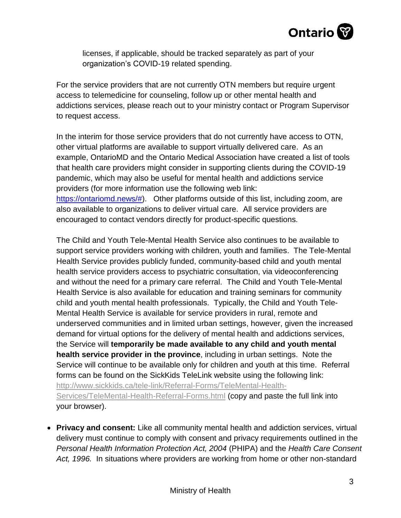

licenses, if applicable, should be tracked separately as part of your organization's COVID-19 related spending.

For the service providers that are not currently OTN members but require urgent access to telemedicine for counseling, follow up or other mental health and addictions services, please reach out to your ministry contact or Program Supervisor to request access.

In the interim for those service providers that do not currently have access to OTN, other virtual platforms are available to support virtually delivered care. As an example, OntarioMD and the Ontario Medical Association have created a list of tools that health care providers might consider in supporting clients during the COVID-19 pandemic, which may also be useful for mental health and addictions service providers (for more information use the following web link: [https://ontariomd.news/#\)](https://ontariomd.news/). Other platforms outside of this list, including zoom, are also available to organizations to deliver virtual care. All service providers are encouraged to contact vendors directly for product-specific questions.

The Child and Youth Tele-Mental Health Service also continues to be available to support service providers working with children, youth and families. The Tele-Mental Health Service provides publicly funded, community-based child and youth mental health service providers access to psychiatric consultation, via videoconferencing and without the need for a primary care referral. The Child and Youth Tele-Mental Health Service is also available for education and training seminars for community child and youth mental health professionals. Typically, the Child and Youth Tele-Mental Health Service is available for service providers in rural, remote and underserved communities and in limited urban settings, however, given the increased demand for virtual options for the delivery of mental health and addictions services, the Service will **temporarily be made available to any child and youth mental health service provider in the province**, including in urban settings. Note the Service will continue to be available only for children and youth at this time. Referral forms can be found on the SickKids TeleLink website using the following link: [http://www.sickkids.ca/tele-link/Referral-Forms/TeleMental-Health-](http://www.sickkids.ca/tele-link/Referral-Forms/TeleMental-Health-Services/TeleMental-Health-Referral-Forms.html)[Services/TeleMental-Health-Referral-Forms.html](http://www.sickkids.ca/tele-link/Referral-Forms/TeleMental-Health-Services/TeleMental-Health-Referral-Forms.html) (copy and paste the full link into your browser).

• **Privacy and consent:** Like all community mental health and addiction services, virtual delivery must continue to comply with consent and privacy requirements outlined in the *Personal Health Information Protection Act, 2004* (PHIPA) and the *Health Care Consent Act, 1996.* In situations where providers are working from home or other non-standard